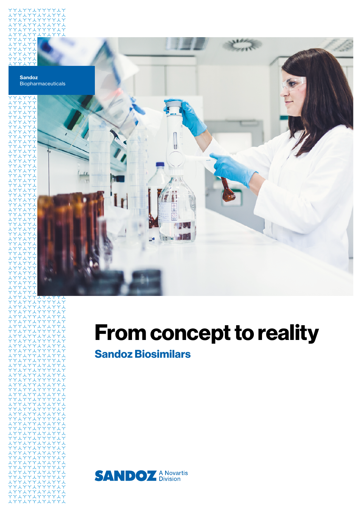

# **From concept to reality**

**Sandoz Biosimilars**

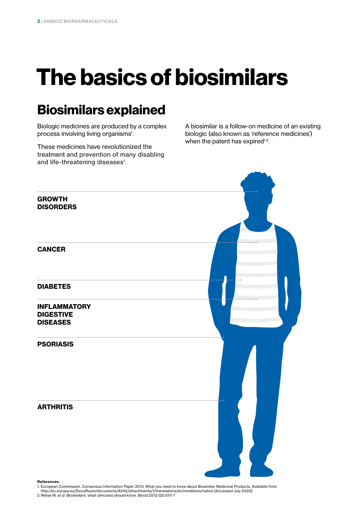# **The basics of biosimilars**

## **Biosimilars explained**

Biologic medicines are produced by a complex process involving living organisms<sup>1</sup>.

These medicines have revolutionized the treatment and prevention of many disabling and life-threatening diseases<sup>1</sup>.

A biosimilar is a follow-on medicine of an existing biologic (also known as 'reference medicines') when the patent has expired<sup>1,2</sup>.



**References:**

1. European Commission. Consensus Information Paper 2013. What you need to know about Biosimilar Medicinal Products. Available from:

http://ec.europa.eu/DocsRoom/documents/8242/attachments/1/translations/en/renditions/native [Accessed July 2020] 2.Weise M, *et al.* Biosimilars: what clinicians should know. *Blood* 2012;120:5111-7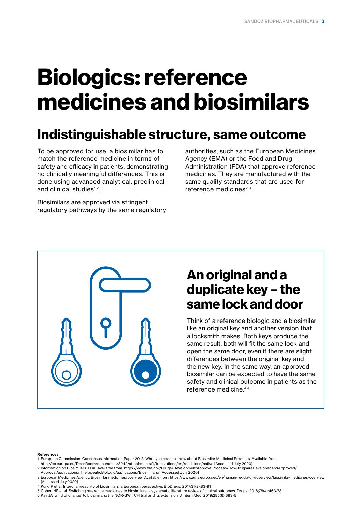# **Biologics: reference medicines and biosimilars**

## **Indistinguishable structure, same outcome**

To be approved for use, a biosimilar has to match the reference medicine in terms of safety and efficacy in patients, demonstrating no clinically meaningful differences. This is done using advanced analytical, preclinical and clinical studies<sup>1,2</sup>.

Biosimilars are approved via stringent regulatory pathways by the same regulatory

authorities, such as the European Medicines Agency (EMA) or the Food and Drug Administration (FDA) that approve reference medicines. They are manufactured with the same quality standards that are used for reference medicines $2,3$ .



## **An original and a duplicate key – the same lock and door**

Think of a reference biologic and a biosimilar like an original key and another version that a locksmith makes. Both keys produce the same result, both will fit the same lock and open the same door, even if there are slight differences between the original key and the new key. In the same way, an approved biosimilar can be expected to have the same safety and clinical outcome in patients as the reference medicine.4-6

#### **References:**

- 1. European Commission. Consensus Information Paper 2013. What you need to know about Biosimilar Medicinal Products. Available from:
- http://ec.europa.eu/DocsRoom/documents/8242/attachments/1/translations/en/renditions/native [Accessed July 2020]

- 4.Kurki P et al. Interchangeability of biosimilars: a European perspective. BioDrugs. 2017;31(2):83-91
- 5.Cohen HP et al. Switching reference medicines to biosimilars: a systematic literature review of clinical outcomes. Drugs. 2018;78(4):463-78.
- 6.Kay JA 'wind of change' to biosimilars: the NOR-SWITCH trial and its extension. J Intern Med. 2019;285(6):693-5

<sup>2.</sup>Information on Biosimilars. FDA. Available from: https://www.fda.gov/Drugs/DevelopmentApprovalProcess/HowDrugsareDevelopedandApproved/ ApprovalApplications/TherapeuticBiologicApplications/Biosimilars/ [Accessed July 2020]

<sup>3.</sup>European Medicines Agency. Biosimilar medicines: overview. Available from: https://www.ema.europa.eu/en/human-regulatory/overview/biosimilar-medicines-overview [Accessed July 2020]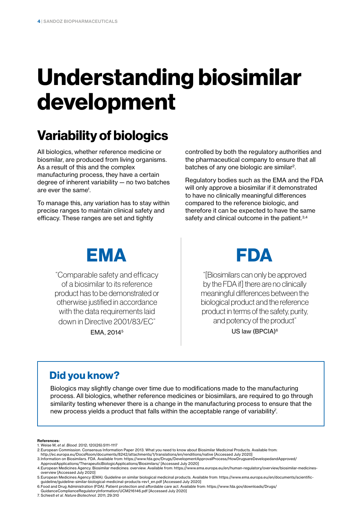# **Understanding biosimilar development**

## **Variability of biologics**

All biologics, whether reference medicine or biosmilar, are produced from living organisms. As a result of this and the complex manufacturing process, they have a certain degree of inherent variability — no two batches are ever the same<sup>1</sup>.

To manage this, any variation has to stay within precise ranges to maintain clinical safety and efficacy. These ranges are set and tightly

controlled by both the regulatory authorities and the pharmaceutical company to ensure that all batches of any one biologic are similar<sup>2</sup>.

Regulatory bodies such as the EMA and the FDA will only approve a biosimilar if it demonstrated to have no clinically meaningful differences compared to the reference biologic, and therefore it can be expected to have the same safety and clinical outcome in the patient.<sup>3,4</sup>



"Comparable safety and efficacy of a biosimilar to its reference product has to be demonstrated or otherwise justified in accordance with the data requirements laid down in Directive 2001/83/EC"

EMA, 20145



"[Biosimilars can only be approved by the FDA if] there are no clinically meaningful differences between the biological product and the reference product in terms of the safety, purity, and potency of the product"

US law (BPCIA)<sup>6</sup>

### **Did you know?**

Biologics may slightly change over time due to modifications made to the manufacturing process. All biologics, whether reference medicines or biosimilars, are required to go through similarity testing whenever there is a change in the manufacturing process to ensure that the new process yields a product that falls within the acceptable range of variability<sup>7</sup>.

#### **References:**

- 1. Weise M, *et al. Blood.* 2012; 120(26):5111-1117
- 2.European Commission. Consensus Information Paper 2013. What you need to know about Biosimilar Medicinal Products. Available from:
- http://ec.europa.eu/DocsRoom/documents/8242/attachments/1/translations/en/renditions/native [Accessed July 2020]
- 3.Information on Biosimilars. FDA. Available from: https://www.fda.gov/Drugs/DevelopmentApprovalProcess/HowDrugsareDevelopedandApproved/ ApprovalApplications/TherapeuticBiologicApplications/Biosimilars/ [Accessed July 2020]

- 5.European Medicines Agency (EMA). Guideline on similar biological medicinal products. Available from: https://www.ema.europa.eu/en/documents/scientificguideline/guideline-similar-biological-medicinal-products-rev1\_en.pdf [Accessed July 2020]
- 6.Food and Drug Administration (FDA). Patient protection and affordable care act. Available from: https://www.fda.gov/downloads/Drugs/ GuidanceComplianceRegulatoryInformation/UCM216146.pdf [Accessed July 2020]
- 7. Schiestl *et al. Nature Biotechnol.* 2011; 29:310

<sup>4.</sup>European Medicines Agency. Biosimilar medicines: overview. Available from: https://www.ema.europa.eu/en/human-regulatory/overview/biosimilar-medicinesoverview [Accessed July 2020]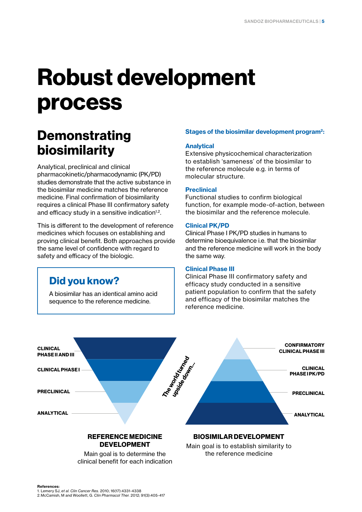# **Robust development process**

## **Demonstrating biosimilarity**

Analytical, preclinical and clinical pharmacokinetic/pharmacodynamic (PK/PD) studies demonstrate that the active substance in the biosimilar medicine matches the reference medicine. Final confirmation of biosimilarity requires a clinical Phase III confirmatory safety and efficacy study in a sensitive indication<sup>1,2</sup>.

This is different to the development of reference medicines which focuses on establishing and proving clinical benefit. Both approaches provide the same level of confidence with regard to safety and efficacy of the biologic.

### **Did you know?**

A biosimilar has an identical amino acid sequence to the reference medicine.

### **Stages of the biosimilar development program2:**

### **Analytical**

Extensive physicochemical characterization to establish 'sameness' of the biosimilar to the reference molecule e.g. in terms of molecular structure.

### **Preclinical**

Functional studies to confirm biological function, for example mode-of-action, between the biosimilar and the reference molecule.

### **Clinical PK/PD**

Clinical Phase I PK/PD studies in humans to determine bioequivalence i.e. that the biosimilar and the reference medicine will work in the body the same way.

#### **Clinical Phase III**

Clinical Phase III confirmatory safety and efficacy study conducted in a sensitive patient population to confirm that the safety and efficacy of the biosimilar matches the reference medicine.



Main goal is to determine the clinical benefit for each indication Main goal is to establish similarity to the reference medicine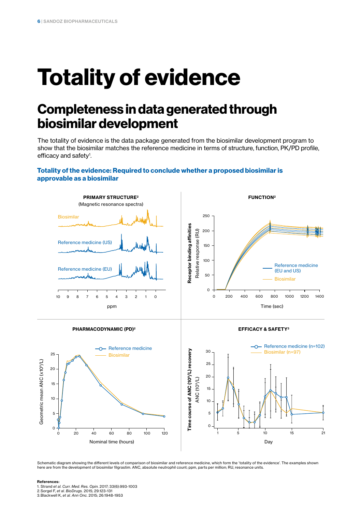# **Totality of evidence**

## **Completeness in data generated through biosimilar development**

The totality of evidence is the data package generated from the biosimilar development program to show that the biosimilar matches the reference medicine in terms of structure, function, PK/PD profile, efficacy and safety<sup>1</sup>.

### **Totality of the evidence: Required to conclude whether a proposed biosimilar is approvable as a biosimilar**











Schematic diagram showing the different levels of comparison of biosimilar and reference medicine, which form the 'totality of the evidence'. The examples shown here are from the development of biosimilar filgrastim. ANC, absolute neutrophil count; ppm, parts per million; RU, resonance units.

#### **References:**

1. Strand *et al. Curr. Med. Res. Opin.* 2017; 33(6):993-1003

2.Sorgel F, *et al. BioDrugs.* 2015; 29:123-131 3.Blackwell K, *et al. Ann Onc.* 2015; 26:1948-1953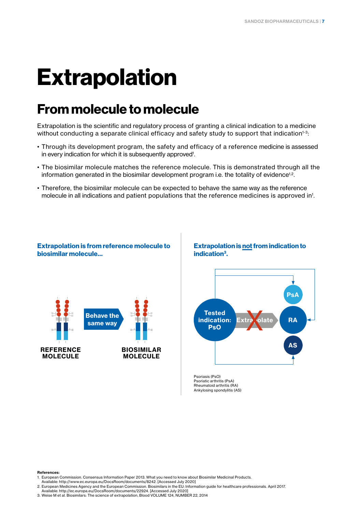# **Extrapolation**

## **From molecule to molecule**

Extrapolation is the scientific and regulatory process of granting a clinical indication to a medicine without conducting a separate clinical efficacy and safety study to support that indication<sup>1-3</sup>:

- Through its development program, the safety and efficacy of a reference medicine is assessed in every indication for which it is subsequently approved<sup>1</sup>.
- The biosimilar molecule matches the reference molecule. This is demonstrated through all the information generated in the biosimilar development program i.e. the totality of evidence<sup>1,2</sup>.
- Therefore, the biosimilar molecule can be expected to behave the same way as the reference molecule in all indications and patient populations that the reference medicines is approved in<sup>1</sup>.



### **Extrapolation is not from indication to indication3.**



Psoriasis (PsO) Psoriatic arthritis (PsA) Rheumatoid arthritis (RA) Ankylosing spondylitis (AS)

#### **References:**

- 1. European Commission. Consensus Information Paper 2013. What you need to know about Biosimilar Medicinal Products.
- Available: http://www.ec.europa.eu/DocsRoom/documents/8242. [Accessed July 2020]
- 2. European Medicines Agency and the European Commission. Biosimilars in the EU: Information guide for healthcare professionals. April 2017. Available: http://ec.europa.eu/DocsRoom/documents/22924. [Accessed July 2020]
- 3. Weise M et al. Biosimilars: The science of extrapolation, Blood VOLUME 124, NUMBER 22, 2014